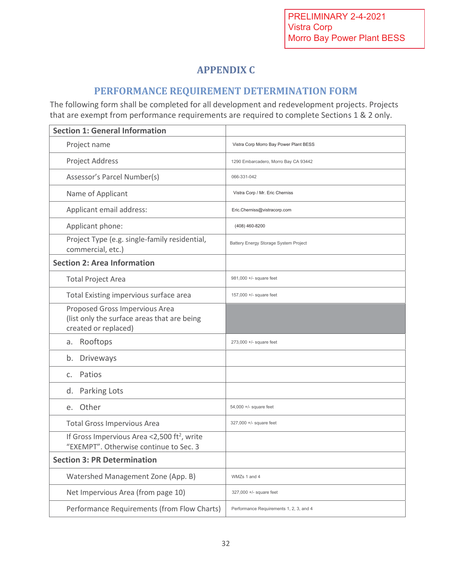## **APPENDIX C**

### **PERFORMANCE REQUIREMENT DETERMINATION FORM**

The following form shall be completed for all development and redevelopment projects. Projects that are exempt from performance requirements are required to complete Sections 1 & 2 only.

| <b>Section 1: General Information</b>                                                                 |                                         |
|-------------------------------------------------------------------------------------------------------|-----------------------------------------|
| Project name                                                                                          | Vistra Corp Morro Bay Power Plant BESS  |
| Project Address                                                                                       | 1290 Embarcadero, Morro Bay CA 93442    |
| Assessor's Parcel Number(s)                                                                           | 066-331-042                             |
| Name of Applicant                                                                                     | Vistra Corp / Mr. Eric Cherniss         |
| Applicant email address:                                                                              | Eric.Cherniss@vistracorp.com            |
| Applicant phone:                                                                                      | (408) 460-8200                          |
| Project Type (e.g. single-family residential,<br>commercial, etc.)                                    | Battery Energy Storage System Project   |
| <b>Section 2: Area Information</b>                                                                    |                                         |
| <b>Total Project Area</b>                                                                             | 981,000 +/- square feet                 |
| Total Existing impervious surface area                                                                | 157,000 +/- square feet                 |
| Proposed Gross Impervious Area<br>(list only the surface areas that are being<br>created or replaced) |                                         |
| Rooftops<br>а.                                                                                        | $273,000 +/-$ square feet               |
| b.<br>Driveways                                                                                       |                                         |
| Patios<br>C.                                                                                          |                                         |
| d. Parking Lots                                                                                       |                                         |
| e. Other                                                                                              | 54,000 +/- square feet                  |
| <b>Total Gross Impervious Area</b>                                                                    | 327,000 +/- square feet                 |
| If Gross Impervious Area <2,500 ft <sup>2</sup> , write<br>"EXEMPT". Otherwise continue to Sec. 3     |                                         |
| <b>Section 3: PR Determination</b>                                                                    |                                         |
| Watershed Management Zone (App. B)                                                                    | WMZs 1 and 4                            |
| Net Impervious Area (from page 10)                                                                    | 327,000 +/- square feet                 |
| Performance Requirements (from Flow Charts)                                                           | Performance Requirements 1, 2, 3, and 4 |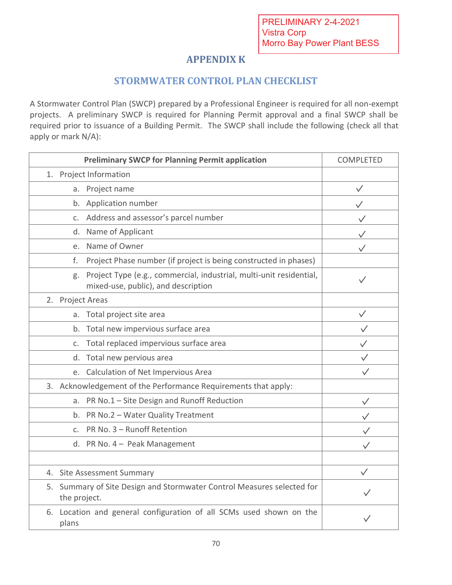## **APPENDIX K**

### **STORMWATER CONTROL PLAN CHECKLIST**

A Stormwater Control Plan (SWCP) prepared by a Professional Engineer is required for all non-exempt projects. A preliminary SWCP is required for Planning Permit approval and a final SWCP shall be required prior to issuance of a Building Permit. The SWCP shall include the following (check all that apply or mark N/A):

| <b>Preliminary SWCP for Planning Permit application</b>                                |                                                                     | <b>COMPLETED</b> |
|----------------------------------------------------------------------------------------|---------------------------------------------------------------------|------------------|
| 1. Project Information                                                                 |                                                                     |                  |
| a. Project name                                                                        |                                                                     | $\checkmark$     |
| b. Application number                                                                  |                                                                     |                  |
| c. Address and assessor's parcel number                                                |                                                                     |                  |
| Name of Applicant<br>d.                                                                |                                                                     |                  |
| Name of Owner<br>e.                                                                    |                                                                     |                  |
| f.                                                                                     | Project Phase number (if project is being constructed in phases)    |                  |
| g.<br>mixed-use, public), and description                                              | Project Type (e.g., commercial, industrial, multi-unit residential, |                  |
| 2. Project Areas                                                                       |                                                                     |                  |
| a. Total project site area                                                             |                                                                     | $\checkmark$     |
| b. Total new impervious surface area                                                   |                                                                     |                  |
| Total replaced impervious surface area<br>C <sub>1</sub>                               |                                                                     | $\checkmark$     |
| Total new pervious area<br>d.                                                          |                                                                     | $\checkmark$     |
| e. Calculation of Net Impervious Area                                                  |                                                                     |                  |
| 3. Acknowledgement of the Performance Requirements that apply:                         |                                                                     |                  |
| a. PR No.1 - Site Design and Runoff Reduction                                          |                                                                     |                  |
| b. PR No.2 - Water Quality Treatment                                                   |                                                                     |                  |
| c. PR No. 3 - Runoff Retention                                                         |                                                                     |                  |
| d. PR No. 4 - Peak Management                                                          |                                                                     |                  |
|                                                                                        |                                                                     |                  |
| 4. Site Assessment Summary                                                             |                                                                     | $\checkmark$     |
| 5. Summary of Site Design and Stormwater Control Measures selected for<br>the project. |                                                                     |                  |
| 6. Location and general configuration of all SCMs used shown on the<br>plans           |                                                                     |                  |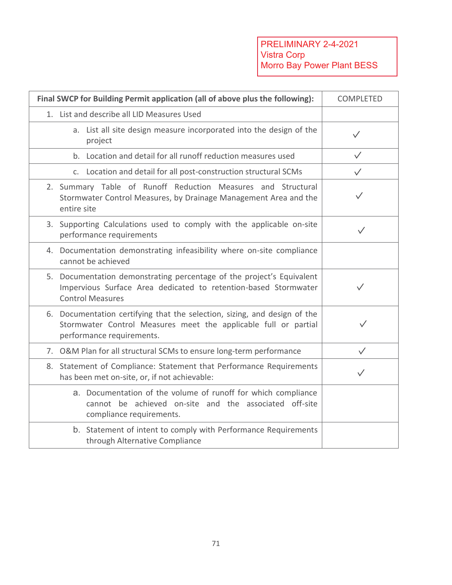| Final SWCP for Building Permit application (all of above plus the following):                                                                                             | <b>COMPLETED</b> |
|---------------------------------------------------------------------------------------------------------------------------------------------------------------------------|------------------|
| 1. List and describe all LID Measures Used                                                                                                                                |                  |
| a. List all site design measure incorporated into the design of the<br>project                                                                                            | $\checkmark$     |
| b. Location and detail for all runoff reduction measures used                                                                                                             | $\checkmark$     |
| c. Location and detail for all post-construction structural SCMs                                                                                                          | $\checkmark$     |
| 2. Summary Table of Runoff Reduction Measures and Structural<br>Stormwater Control Measures, by Drainage Management Area and the<br>entire site                           | $\checkmark$     |
| 3. Supporting Calculations used to comply with the applicable on-site<br>performance requirements                                                                         | $\checkmark$     |
| 4. Documentation demonstrating infeasibility where on-site compliance<br>cannot be achieved                                                                               |                  |
| 5. Documentation demonstrating percentage of the project's Equivalent<br>Impervious Surface Area dedicated to retention-based Stormwater<br><b>Control Measures</b>       | $\checkmark$     |
| 6. Documentation certifying that the selection, sizing, and design of the<br>Stormwater Control Measures meet the applicable full or partial<br>performance requirements. |                  |
| 7. O&M Plan for all structural SCMs to ensure long-term performance                                                                                                       | $\checkmark$     |
| 8. Statement of Compliance: Statement that Performance Requirements<br>has been met on-site, or, if not achievable:                                                       | $\checkmark$     |
| a. Documentation of the volume of runoff for which compliance<br>cannot be achieved on-site and the associated off-site<br>compliance requirements.                       |                  |
| b. Statement of intent to comply with Performance Requirements<br>through Alternative Compliance                                                                          |                  |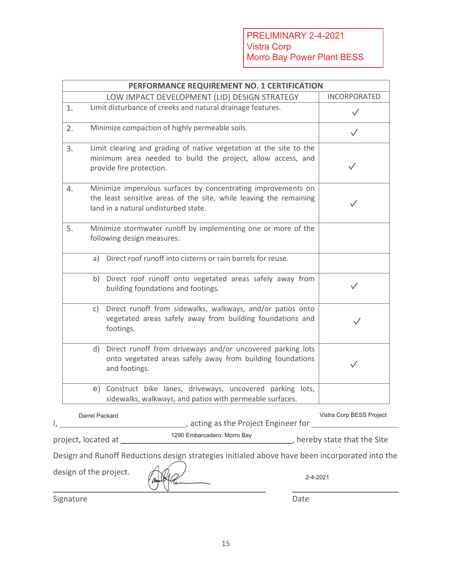|    |                | PERFORMANCE REQUIREMENT NO. 1 CERTIFICATION                                                                                                                                 |                          |
|----|----------------|-----------------------------------------------------------------------------------------------------------------------------------------------------------------------------|--------------------------|
|    |                | LOW IMPACT DEVELOPMENT (LID) DESIGN STRATEGY                                                                                                                                | <b>INCORPORATED</b>      |
| 1. |                | Limit disturbance of creeks and natural drainage features.                                                                                                                  |                          |
| 2. |                | Minimize compaction of highly permeable soils.                                                                                                                              |                          |
| 3. |                | Limit clearing and grading of native vegetation at the site to the<br>minimum area needed to build the project, allow access, and<br>provide fire protection.               | $\checkmark$             |
| 4. |                | Minimize impervious surfaces by concentrating improvements on<br>the least sensitive areas of the site, while leaving the remaining<br>land in a natural undisturbed state. |                          |
| 5. |                | Minimize stormwater runoff by implementing one or more of the<br>following design measures:                                                                                 |                          |
|    |                | a) Direct roof runoff into cisterns or rain barrels for reuse.                                                                                                              |                          |
|    |                | b) Direct roof runoff onto vegetated areas safely away from<br>building foundations and footings.                                                                           |                          |
|    | c)             | Direct runoff from sidewalks, walkways, and/or patios onto<br>vegetated areas safely away from building foundations and<br>footings.                                        |                          |
|    |                | d) Direct runoff from driveways and/or uncovered parking lots<br>onto vegetated areas safely away from building foundations<br>and footings.                                |                          |
|    |                | e) Construct bike lanes, driveways, uncovered parking lots,<br>sidewalks, walkways, and patios with permeable surfaces.                                                     |                          |
|    | Darrel Packard | acting as the Project Engineer for                                                                                                                                          | Vistra Corp BESS Project |

| project, located at |  |  |
|---------------------|--|--|
|---------------------|--|--|

1290 Embarcadero, Morro Bay

 $\rule{1em}{0.15mm}$ , hereby state that the Site

Design and Runoff Reductions design strategies initialed above have been incorporated into the

design of the project.

l

Signature Date

 $\overline{a}$ 

2-4-2021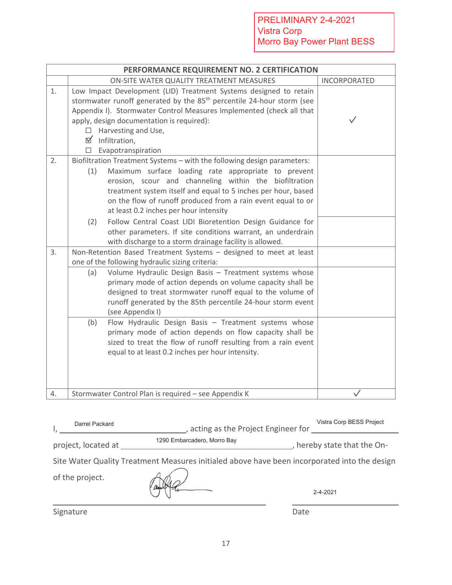|    |            | PERFORMANCE REQUIREMENT NO. 2 CERTIFICATION                                                                                                                                                                                                                                                                                                                                                                                                                                                                                                                 |              |
|----|------------|-------------------------------------------------------------------------------------------------------------------------------------------------------------------------------------------------------------------------------------------------------------------------------------------------------------------------------------------------------------------------------------------------------------------------------------------------------------------------------------------------------------------------------------------------------------|--------------|
|    |            | ON-SITE WATER QUALITY TREATMENT MEASURES                                                                                                                                                                                                                                                                                                                                                                                                                                                                                                                    | INCORPORATED |
| 1. | $\Box$     | Low Impact Development (LID) Treatment Systems designed to retain<br>stormwater runoff generated by the 85 <sup>th</sup> percentile 24-hour storm (see<br>Appendix I). Stormwater Control Measures Implemented (check all that<br>apply, design documentation is required):<br>Harvesting and Use,<br>$\boxtimes$ Infiltration,<br>Evapotranspiration                                                                                                                                                                                                       | $\checkmark$ |
| 2. | (1)<br>(2) | Biofiltration Treatment Systems - with the following design parameters:<br>Maximum surface loading rate appropriate to prevent<br>erosion, scour and channeling within the biofiltration<br>treatment system itself and equal to 5 inches per hour, based<br>on the flow of runoff produced from a rain event equal to or<br>at least 0.2 inches per hour intensity<br>Follow Central Coast LIDI Bioretention Design Guidance for<br>other parameters. If site conditions warrant, an underdrain<br>with discharge to a storm drainage facility is allowed. |              |
| 3. |            | Non-Retention Based Treatment Systems - designed to meet at least<br>one of the following hydraulic sizing criteria:                                                                                                                                                                                                                                                                                                                                                                                                                                        |              |
|    | (a)<br>(b) | Volume Hydraulic Design Basis - Treatment systems whose<br>primary mode of action depends on volume capacity shall be<br>designed to treat stormwater runoff equal to the volume of<br>runoff generated by the 85th percentile 24-hour storm event<br>(see Appendix I)<br>Flow Hydraulic Design Basis - Treatment systems whose                                                                                                                                                                                                                             |              |
|    |            | primary mode of action depends on flow capacity shall be<br>sized to treat the flow of runoff resulting from a rain event<br>equal to at least 0.2 inches per hour intensity.                                                                                                                                                                                                                                                                                                                                                                               |              |
| 4. |            | Stormwater Control Plan is required - see Appendix K                                                                                                                                                                                                                                                                                                                                                                                                                                                                                                        |              |

| Darrel Packard      | Vistra Corp BESS Project<br>acting as the Project Engineer for                               |                           |
|---------------------|----------------------------------------------------------------------------------------------|---------------------------|
| project, located at | 1290 Embarcadero, Morro Bay                                                                  | hereby state that the On- |
| of the project.     | Site Water Quality Treatment Measures initialed above have been incorporated into the design |                           |
|                     |                                                                                              | 2-4-2021                  |
| Signature           |                                                                                              | Date                      |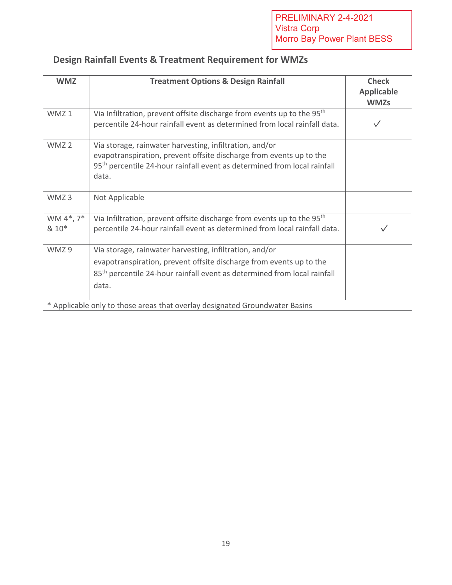| <b>WMZ</b>         | <b>Treatment Options &amp; Design Rainfall</b>                                                                                                                                                                                  | <b>Check</b><br><b>Applicable</b><br><b>WMZs</b> |
|--------------------|---------------------------------------------------------------------------------------------------------------------------------------------------------------------------------------------------------------------------------|--------------------------------------------------|
| WMZ <sub>1</sub>   | Via Infiltration, prevent offsite discharge from events up to the 95 <sup>th</sup><br>percentile 24-hour rainfall event as determined from local rainfall data.                                                                 |                                                  |
| WMZ <sub>2</sub>   | Via storage, rainwater harvesting, infiltration, and/or<br>evapotranspiration, prevent offsite discharge from events up to the<br>95 <sup>th</sup> percentile 24-hour rainfall event as determined from local rainfall<br>data. |                                                  |
| WMZ <sub>3</sub>   | Not Applicable                                                                                                                                                                                                                  |                                                  |
| WM 4*, 7*<br>& 10* | Via Infiltration, prevent offsite discharge from events up to the 95 <sup>th</sup><br>percentile 24-hour rainfall event as determined from local rainfall data.                                                                 |                                                  |
| WMZ9               | Via storage, rainwater harvesting, infiltration, and/or<br>evapotranspiration, prevent offsite discharge from events up to the<br>85 <sup>th</sup> percentile 24-hour rainfall event as determined from local rainfall<br>data. |                                                  |
|                    | * Applicable only to those areas that overlay designated Groundwater Basins                                                                                                                                                     |                                                  |

# **Design Rainfall Events & Treatment Requirement for WMZs**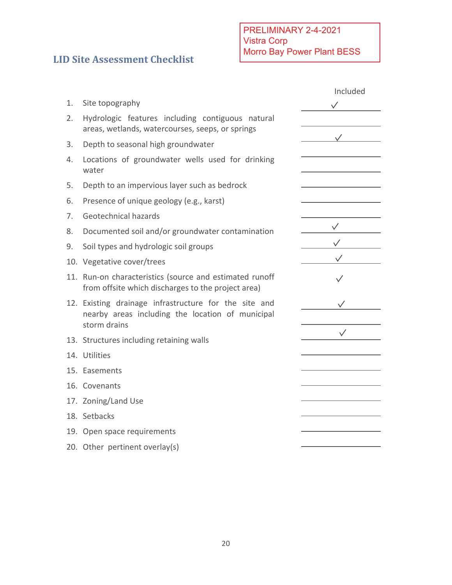## **LID Site Assessment Checklist**

|    |                                                                                                                           | Included     |
|----|---------------------------------------------------------------------------------------------------------------------------|--------------|
| 1. | Site topography                                                                                                           |              |
| 2. | Hydrologic features including contiguous natural<br>areas, wetlands, watercourses, seeps, or springs                      |              |
| 3. | Depth to seasonal high groundwater                                                                                        |              |
| 4. | Locations of groundwater wells used for drinking<br>water                                                                 |              |
| 5. | Depth to an impervious layer such as bedrock                                                                              |              |
| 6. | Presence of unique geology (e.g., karst)                                                                                  |              |
| 7. | Geotechnical hazards                                                                                                      |              |
| 8. | Documented soil and/or groundwater contamination                                                                          |              |
| 9. | Soil types and hydrologic soil groups                                                                                     |              |
|    | 10. Vegetative cover/trees                                                                                                |              |
|    | 11. Run-on characteristics (source and estimated runoff<br>from offsite which discharges to the project area)             |              |
|    | 12. Existing drainage infrastructure for the site and<br>nearby areas including the location of municipal<br>storm drains |              |
|    | 13. Structures including retaining walls                                                                                  | $\checkmark$ |
|    | 14. Utilities                                                                                                             |              |
|    | 15. Easements                                                                                                             |              |
|    | 16. Covenants                                                                                                             |              |
|    | 17. Zoning/Land Use                                                                                                       |              |
|    | 18. Setbacks                                                                                                              |              |
|    | 19. Open space requirements                                                                                               |              |
|    | 20. Other pertinent overlay(s)                                                                                            |              |